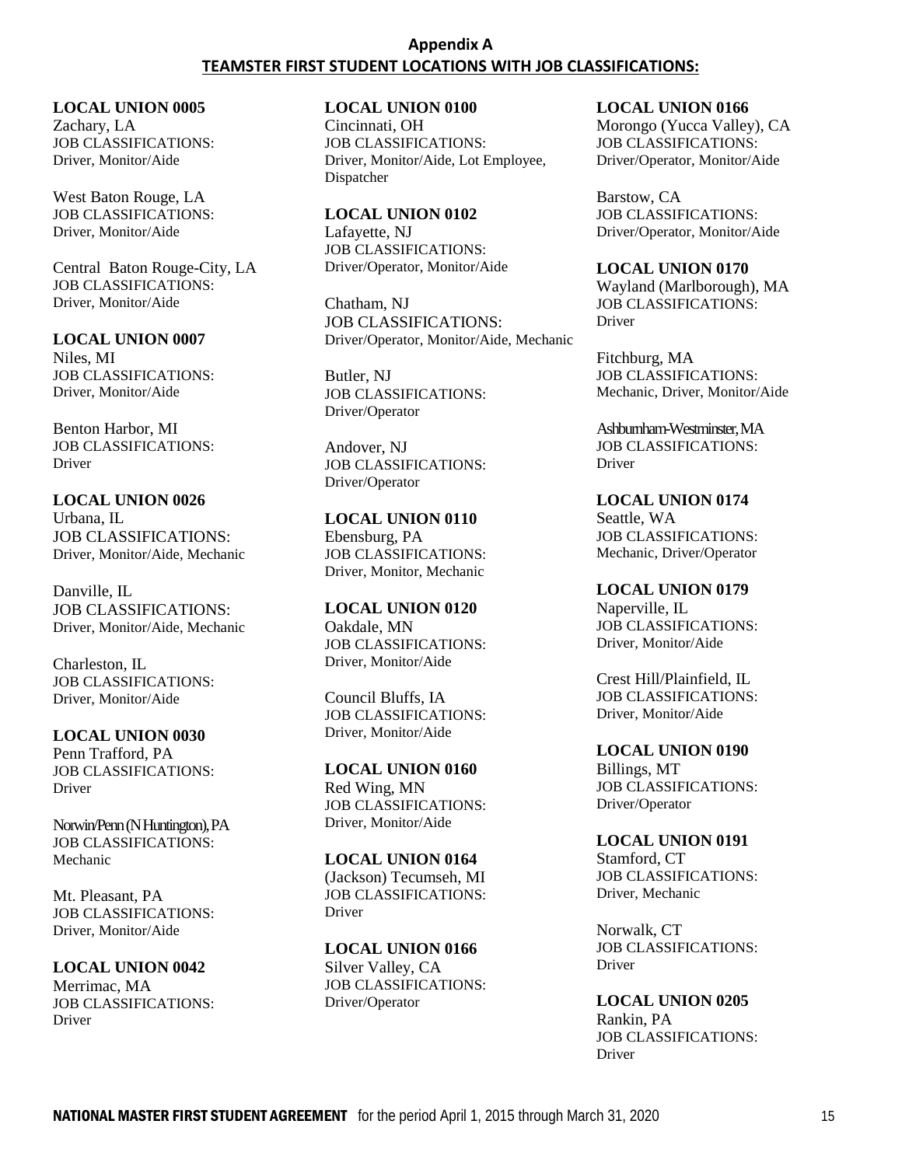**LOCAL UNION 0005** Zachary, LA JOB CLASSIFICATIONS: Driver, Monitor/Aide

West Baton Rouge, LA JOB CLASSIFICATIONS: Driver, Monitor/Aide

Central Baton Rouge-City, LA JOB CLASSIFICATIONS: Driver, Monitor/Aide

**LOCAL UNION 0007** Niles, MI JOB CLASSIFICATIONS: Driver, Monitor/Aide

Benton Harbor, MI JOB CLASSIFICATIONS: Driver

**LOCAL UNION 0026** Urbana, IL JOB CLASSIFICATIONS: Driver, Monitor/Aide, Mechanic

Danville, IL JOB CLASSIFICATIONS: Driver, Monitor/Aide, Mechanic

Charleston, IL JOB CLASSIFICATIONS: Driver, Monitor/Aide

**LOCAL UNION 0030**

Penn Trafford, PA JOB CLASSIFICATIONS: Driver

Norwin/Penn (N Huntington), PA JOB CLASSIFICATIONS: Mechanic

Mt. Pleasant, PA JOB CLASSIFICATIONS: Driver, Monitor/Aide

**LOCAL UNION 0042** Merrimac, MA JOB CLASSIFICATIONS: Driver

**LOCAL UNION 0100**

Cincinnati, OH JOB CLASSIFICATIONS: Driver, Monitor/Aide, Lot Employee, Dispatcher

**LOCAL UNION 0102** Lafayette, NJ

JOB CLASSIFICATIONS: Driver/Operator, Monitor/Aide

Chatham, NJ JOB CLASSIFICATIONS: Driver/Operator, Monitor/Aide, Mechanic

Butler, NJ JOB CLASSIFICATIONS: Driver/Operator

Andover, NJ JOB CLASSIFICATIONS: Driver/Operator

**LOCAL UNION 0110** Ebensburg, PA JOB CLASSIFICATIONS: Driver, Monitor, Mechanic

**LOCAL UNION 0120** Oakdale, MN JOB CLASSIFICATIONS: Driver, Monitor/Aide

Council Bluffs, IA JOB CLASSIFICATIONS: Driver, Monitor/Aide

**LOCAL UNION 0160** Red Wing, MN JOB CLASSIFICATIONS: Driver, Monitor/Aide

**LOCAL UNION 0164** (Jackson) Tecumseh, MI JOB CLASSIFICATIONS: Driver

**LOCAL UNION 0166** Silver Valley, CA JOB CLASSIFICATIONS: Driver/Operator

**LOCAL UNION 0166** Morongo (Yucca Valley), CA JOB CLASSIFICATIONS:

Driver/Operator, Monitor/Aide Barstow, CA

JOB CLASSIFICATIONS: Driver/Operator, Monitor/Aide

**LOCAL UNION 0170** Wayland (Marlborough), MA JOB CLASSIFICATIONS: Driver

Fitchburg, MA JOB CLASSIFICATIONS: Mechanic, Driver, Monitor/Aide

Ashburnham-Westminster, MA JOB CLASSIFICATIONS: Driver

**LOCAL UNION 0174** Seattle, WA JOB CLASSIFICATIONS: Mechanic, Driver/Operator

**LOCAL UNION 0179** Naperville, IL JOB CLASSIFICATIONS: Driver, Monitor/Aide

Crest Hill/Plainfield, IL JOB CLASSIFICATIONS: Driver, Monitor/Aide

**LOCAL UNION 0190** Billings, MT JOB CLASSIFICATIONS: Driver/Operator

**LOCAL UNION 0191** Stamford, CT JOB CLASSIFICATIONS: Driver, Mechanic

Norwalk, CT JOB CLASSIFICATIONS: Driver

**LOCAL UNION 0205** Rankin, PA JOB CLASSIFICATIONS: Driver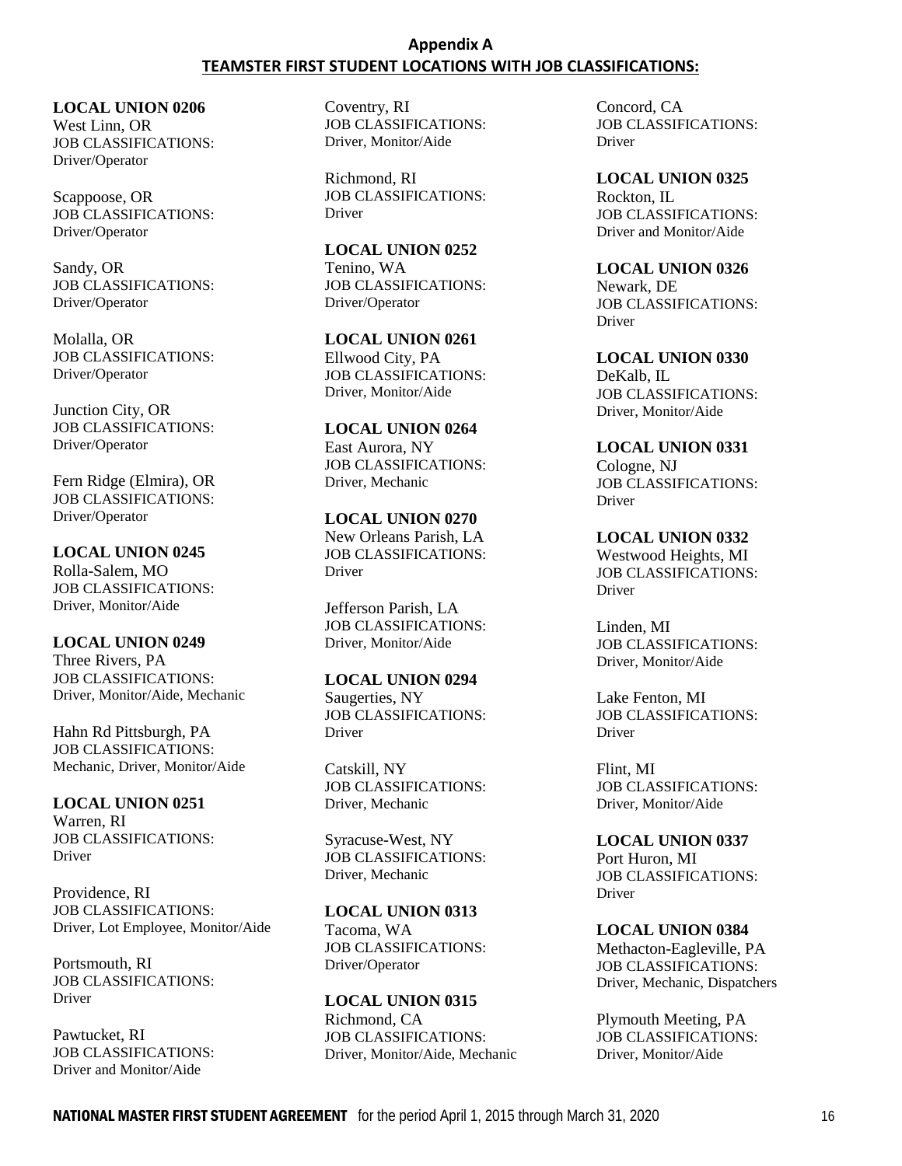**LOCAL UNION 0206** West Linn, OR JOB CLASSIFICATIONS: Driver/Operator

Scappoose, OR JOB CLASSIFICATIONS: Driver/Operator

Sandy, OR JOB CLASSIFICATIONS: Driver/Operator

Molalla, OR JOB CLASSIFICATIONS: Driver/Operator

Junction City, OR JOB CLASSIFICATIONS: Driver/Operator

Fern Ridge (Elmira), OR JOB CLASSIFICATIONS: Driver/Operator

**LOCAL UNION 0245** Rolla-Salem, MO JOB CLASSIFICATIONS: Driver, Monitor/Aide

### **LOCAL UNION 0249**

Three Rivers, PA JOB CLASSIFICATIONS: Driver, Monitor/Aide, Mechanic

Hahn Rd Pittsburgh, PA JOB CLASSIFICATIONS: Mechanic, Driver, Monitor/Aide

**LOCAL UNION 0251** Warren, RI JOB CLASSIFICATIONS: **Driver** 

Providence, RI JOB CLASSIFICATIONS: Driver, Lot Employee, Monitor/Aide

Portsmouth, RI JOB CLASSIFICATIONS: Driver

Pawtucket, RI JOB CLASSIFICATIONS: Driver and Monitor/Aide

Coventry, RI JOB CLASSIFICATIONS: Driver, Monitor/Aide

Richmond, RI JOB CLASSIFICATIONS: Driver

**LOCAL UNION 0252** Tenino, WA JOB CLASSIFICATIONS: Driver/Operator

**LOCAL UNION 0261** Ellwood City, PA JOB CLASSIFICATIONS: Driver, Monitor/Aide

**LOCAL UNION 0264** East Aurora, NY JOB CLASSIFICATIONS: Driver, Mechanic

**LOCAL UNION 0270** New Orleans Parish, LA JOB CLASSIFICATIONS: Driver

Jefferson Parish, LA JOB CLASSIFICATIONS: Driver, Monitor/Aide

# **LOCAL UNION 0294** Saugerties, NY

JOB CLASSIFICATIONS: Driver

Catskill, NY JOB CLASSIFICATIONS: Driver, Mechanic

Syracuse-West, NY JOB CLASSIFICATIONS: Driver, Mechanic

# **LOCAL UNION 0313**

Tacoma, WA JOB CLASSIFICATIONS: Driver/Operator

**LOCAL UNION 0315** Richmond, CA JOB CLASSIFICATIONS: Driver, Monitor/Aide, Mechanic Concord, CA JOB CLASSIFICATIONS: **Driver** 

**LOCAL UNION 0325** Rockton, IL JOB CLASSIFICATIONS: Driver and Monitor/Aide

**LOCAL UNION 0326** Newark, DE JOB CLASSIFICATIONS: Driver

**LOCAL UNION 0330** DeKalb, IL JOB CLASSIFICATIONS: Driver, Monitor/Aide

**LOCAL UNION 0331** Cologne, NJ JOB CLASSIFICATIONS: Driver

**LOCAL UNION 0332** Westwood Heights, MI JOB CLASSIFICATIONS: Driver

Linden, MI JOB CLASSIFICATIONS: Driver, Monitor/Aide

Lake Fenton, MI JOB CLASSIFICATIONS: Driver

Flint, MI JOB CLASSIFICATIONS: Driver, Monitor/Aide

**LOCAL UNION 0337** Port Huron, MI JOB CLASSIFICATIONS: Driver

**LOCAL UNION 0384** Methacton-Eagleville, PA JOB CLASSIFICATIONS: Driver, Mechanic, Dispatchers

Plymouth Meeting, PA JOB CLASSIFICATIONS: Driver, Monitor/Aide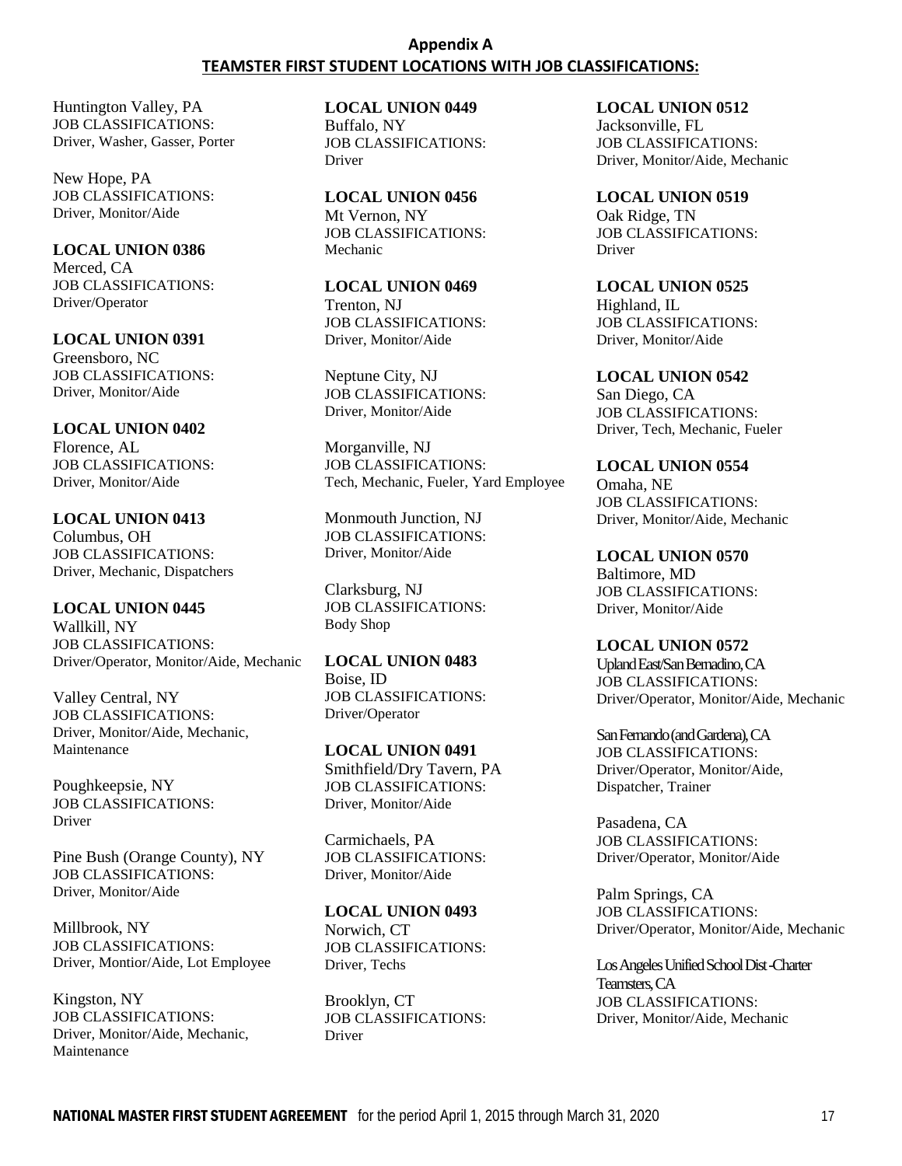Huntington Valley, PA JOB CLASSIFICATIONS: Driver, Washer, Gasser, Porter

New Hope, PA JOB CLASSIFICATIONS: Driver, Monitor/Aide

**LOCAL UNION 0386** Merced, CA JOB CLASSIFICATIONS: Driver/Operator

**LOCAL UNION 0391** Greensboro, NC JOB CLASSIFICATIONS: Driver, Monitor/Aide

**LOCAL UNION 0402** Florence, AL JOB CLASSIFICATIONS: Driver, Monitor/Aide

**LOCAL UNION 0413** Columbus, OH JOB CLASSIFICATIONS: Driver, Mechanic, Dispatchers

**LOCAL UNION 0445** Wallkill, NY JOB CLASSIFICATIONS: Driver/Operator, Monitor/Aide, Mechanic

Valley Central, NY JOB CLASSIFICATIONS: Driver, Monitor/Aide, Mechanic, Maintenance

Poughkeepsie, NY JOB CLASSIFICATIONS: Driver

Pine Bush (Orange County), NY JOB CLASSIFICATIONS: Driver, Monitor/Aide

Millbrook, NY JOB CLASSIFICATIONS: Driver, Montior/Aide, Lot Employee

Kingston, NY JOB CLASSIFICATIONS: Driver, Monitor/Aide, Mechanic, Maintenance

**LOCAL UNION 0449** Buffalo, NY JOB CLASSIFICATIONS: Driver

**LOCAL UNION 0456** Mt Vernon, NY JOB CLASSIFICATIONS: Mechanic

**LOCAL UNION 0469** Trenton, NJ JOB CLASSIFICATIONS: Driver, Monitor/Aide

Neptune City, NJ JOB CLASSIFICATIONS: Driver, Monitor/Aide

Morganville, NJ JOB CLASSIFICATIONS: Tech, Mechanic, Fueler, Yard Employee

Monmouth Junction, NJ JOB CLASSIFICATIONS: Driver, Monitor/Aide

Clarksburg, NJ JOB CLASSIFICATIONS: Body Shop

**LOCAL UNION 0483** Boise, ID JOB CLASSIFICATIONS: Driver/Operator

**LOCAL UNION 0491** Smithfield/Dry Tavern, PA JOB CLASSIFICATIONS: Driver, Monitor/Aide

Carmichaels, PA JOB CLASSIFICATIONS: Driver, Monitor/Aide

### **LOCAL UNION 0493**

Norwich, CT JOB CLASSIFICATIONS: Driver, Techs

Brooklyn, CT JOB CLASSIFICATIONS: Driver

**LOCAL UNION 0512** Jacksonville, FL JOB CLASSIFICATIONS: Driver, Monitor/Aide, Mechanic

**LOCAL UNION 0519** Oak Ridge, TN JOB CLASSIFICATIONS: Driver

**LOCAL UNION 0525** Highland, IL JOB CLASSIFICATIONS:

Driver, Monitor/Aide **LOCAL UNION 0542** San Diego, CA

JOB CLASSIFICATIONS: Driver, Tech, Mechanic, Fueler

**LOCAL UNION 0554** Omaha, NE JOB CLASSIFICATIONS: Driver, Monitor/Aide, Mechanic

**LOCAL UNION 0570** Baltimore, MD JOB CLASSIFICATIONS: Driver, Monitor/Aide

**LOCAL UNION 0572** Upland East/San Bernadino, CA JOB CLASSIFICATIONS: Driver/Operator, Monitor/Aide, Mechanic

San Fernando (and Gardena), CA JOB CLASSIFICATIONS: Driver/Operator, Monitor/Aide, Dispatcher, Trainer

Pasadena, CA JOB CLASSIFICATIONS: Driver/Operator, Monitor/Aide

Palm Springs, CA JOB CLASSIFICATIONS: Driver/Operator, Monitor/Aide, Mechanic

Los Angeles Unified School Dist -Charter Teamsters, CA JOB CLASSIFICATIONS: Driver, Monitor/Aide, Mechanic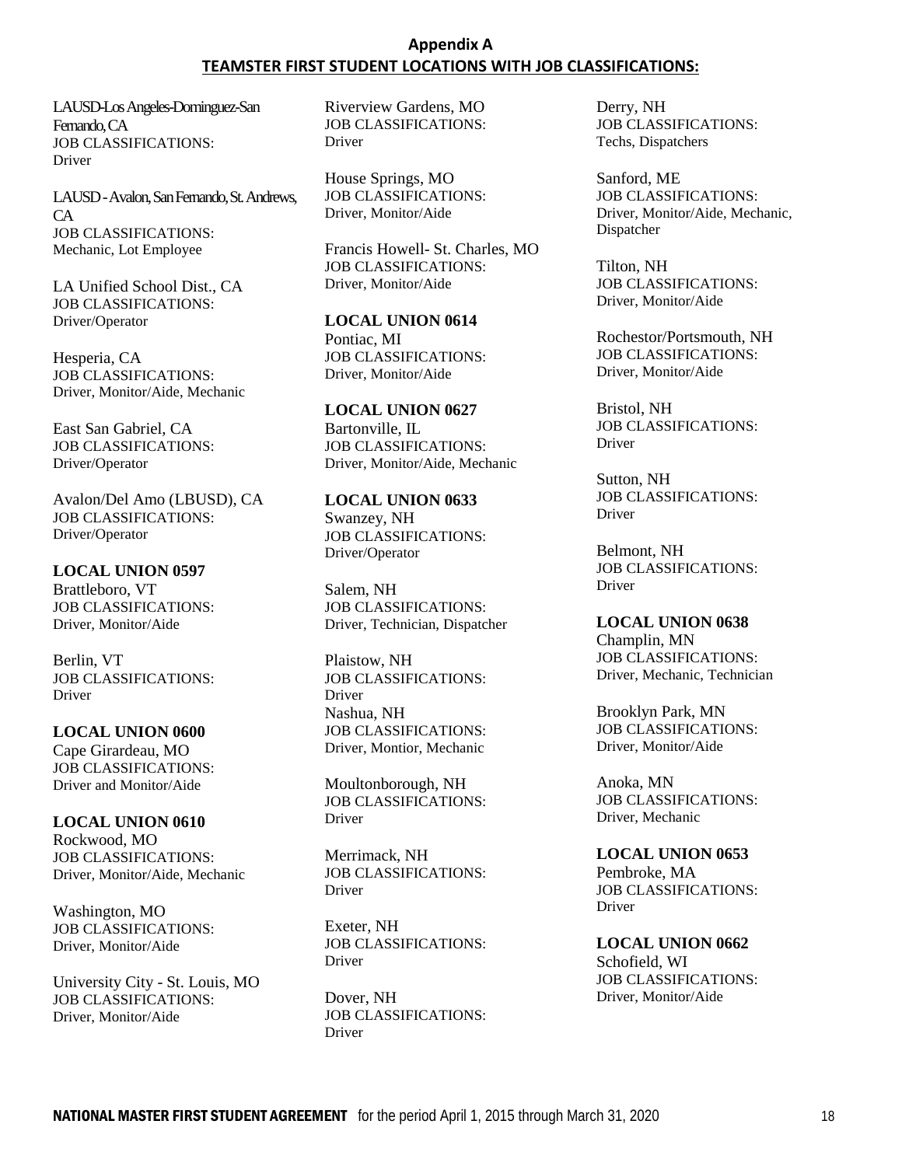LAUSD-Los Angeles-Dominguez-San Fernando, CA JOB CLASSIFICATIONS: Driver

LAUSD -Avalon, San Fernando, St. Andrews,  $\Gamma$ A JOB CLASSIFICATIONS: Mechanic, Lot Employee

LA Unified School Dist., CA JOB CLASSIFICATIONS: Driver/Operator

Hesperia, CA JOB CLASSIFICATIONS: Driver, Monitor/Aide, Mechanic

East San Gabriel, CA JOB CLASSIFICATIONS: Driver/Operator

Avalon/Del Amo (LBUSD), CA JOB CLASSIFICATIONS: Driver/Operator

**LOCAL UNION 0597** Brattleboro, VT JOB CLASSIFICATIONS: Driver, Monitor/Aide

Berlin, VT JOB CLASSIFICATIONS: Driver

**LOCAL UNION 0600** Cape Girardeau, MO JOB CLASSIFICATIONS: Driver and Monitor/Aide

**LOCAL UNION 0610** Rockwood, MO JOB CLASSIFICATIONS: Driver, Monitor/Aide, Mechanic

Washington, MO JOB CLASSIFICATIONS: Driver, Monitor/Aide

University City - St. Louis, MO JOB CLASSIFICATIONS: Driver, Monitor/Aide

Riverview Gardens, MO JOB CLASSIFICATIONS: Driver

House Springs, MO JOB CLASSIFICATIONS: Driver, Monitor/Aide

Francis Howell- St. Charles, MO JOB CLASSIFICATIONS: Driver, Monitor/Aide

**LOCAL UNION 0614** Pontiac, MI JOB CLASSIFICATIONS: Driver, Monitor/Aide

**LOCAL UNION 0627** Bartonville, IL JOB CLASSIFICATIONS: Driver, Monitor/Aide, Mechanic

**LOCAL UNION 0633** Swanzey, NH JOB CLASSIFICATIONS: Driver/Operator

Salem, NH JOB CLASSIFICATIONS: Driver, Technician, Dispatcher

Plaistow, NH JOB CLASSIFICATIONS: Driver Nashua, NH JOB CLASSIFICATIONS: Driver, Montior, Mechanic

Moultonborough, NH JOB CLASSIFICATIONS: Driver

Merrimack, NH JOB CLASSIFICATIONS: Driver

Exeter, NH JOB CLASSIFICATIONS: Driver

Dover, NH JOB CLASSIFICATIONS: Driver

Derry, NH JOB CLASSIFICATIONS: Techs, Dispatchers

Sanford, ME JOB CLASSIFICATIONS: Driver, Monitor/Aide, Mechanic, Dispatcher

Tilton, NH JOB CLASSIFICATIONS: Driver, Monitor/Aide

Rochestor/Portsmouth, NH JOB CLASSIFICATIONS: Driver, Monitor/Aide

Bristol, NH JOB CLASSIFICATIONS: Driver

Sutton, NH JOB CLASSIFICATIONS: Driver

Belmont, NH JOB CLASSIFICATIONS: Driver

**LOCAL UNION 0638**

Champlin, MN JOB CLASSIFICATIONS: Driver, Mechanic, Technician

Brooklyn Park, MN JOB CLASSIFICATIONS: Driver, Monitor/Aide

Anoka, MN JOB CLASSIFICATIONS: Driver, Mechanic

**LOCAL UNION 0653** Pembroke, MA JOB CLASSIFICATIONS: Driver

**LOCAL UNION 0662** Schofield, WI JOB CLASSIFICATIONS: Driver, Monitor/Aide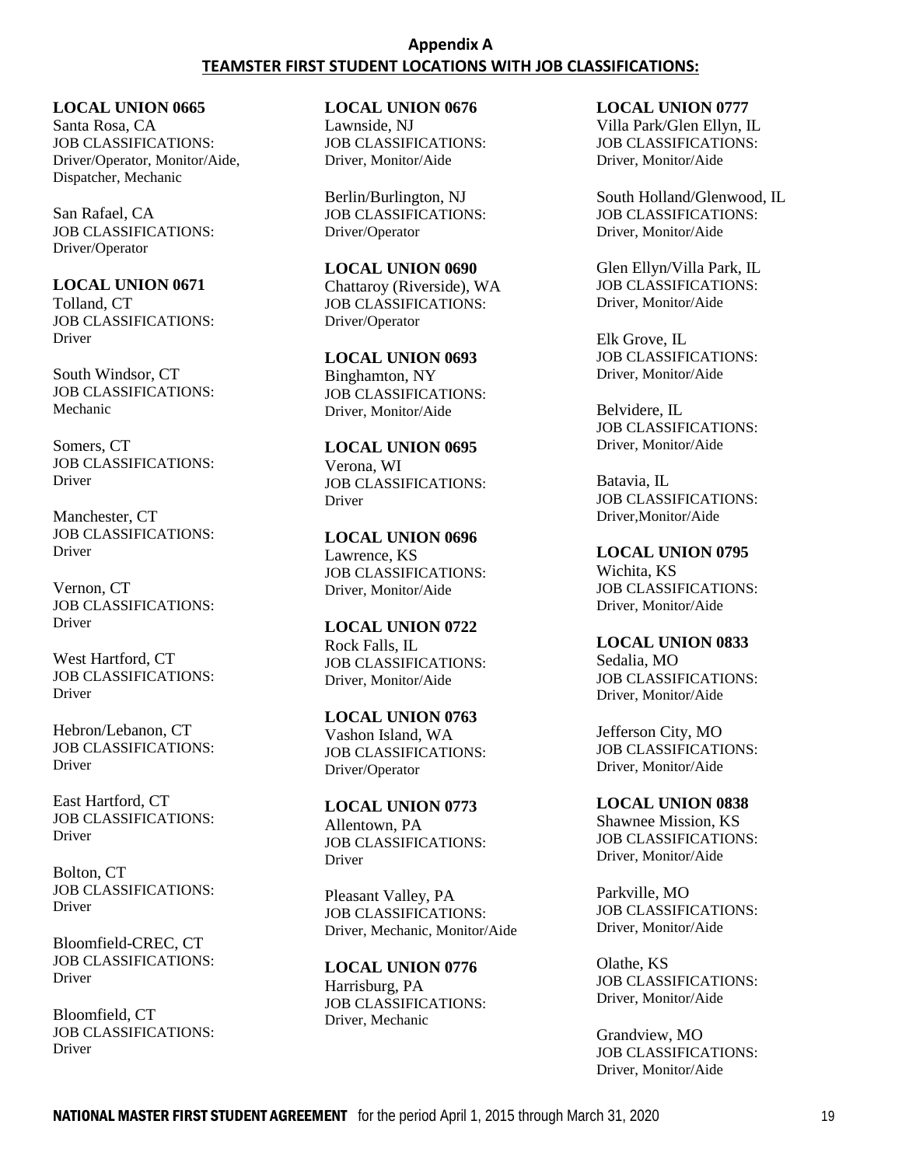**LOCAL UNION 0665**

Santa Rosa, CA JOB CLASSIFICATIONS: Driver/Operator, Monitor/Aide, Dispatcher, Mechanic

San Rafael, CA JOB CLASSIFICATIONS: Driver/Operator

**LOCAL UNION 0671**

Tolland, CT JOB CLASSIFICATIONS: Driver

South Windsor, CT JOB CLASSIFICATIONS: Mechanic

Somers, CT JOB CLASSIFICATIONS: Driver

Manchester, CT JOB CLASSIFICATIONS: Driver

Vernon, CT JOB CLASSIFICATIONS: Driver

West Hartford, CT JOB CLASSIFICATIONS: Driver

Hebron/Lebanon, CT JOB CLASSIFICATIONS: Driver

East Hartford, CT JOB CLASSIFICATIONS: Driver

Bolton, CT JOB CLASSIFICATIONS: Driver

Bloomfield-CREC, CT JOB CLASSIFICATIONS: Driver

Bloomfield, CT JOB CLASSIFICATIONS: Driver

**LOCAL UNION 0676**

Lawnside, NJ JOB CLASSIFICATIONS: Driver, Monitor/Aide

Berlin/Burlington, NJ JOB CLASSIFICATIONS: Driver/Operator

**LOCAL UNION 0690** Chattaroy (Riverside), WA JOB CLASSIFICATIONS: Driver/Operator

**LOCAL UNION 0693** Binghamton, NY JOB CLASSIFICATIONS: Driver, Monitor/Aide

**LOCAL UNION 0695** Verona, WI JOB CLASSIFICATIONS: Driver

**LOCAL UNION 0696** Lawrence, KS JOB CLASSIFICATIONS: Driver, Monitor/Aide

**LOCAL UNION 0722** Rock Falls, IL JOB CLASSIFICATIONS: Driver, Monitor/Aide

**LOCAL UNION 0763** Vashon Island, WA JOB CLASSIFICATIONS: Driver/Operator

**LOCAL UNION 0773** Allentown, PA JOB CLASSIFICATIONS: Driver

Pleasant Valley, PA JOB CLASSIFICATIONS: Driver, Mechanic, Monitor/Aide

**LOCAL UNION 0776** Harrisburg, PA JOB CLASSIFICATIONS: Driver, Mechanic

**LOCAL UNION 0777**

Villa Park/Glen Ellyn, IL JOB CLASSIFICATIONS: Driver, Monitor/Aide

South Holland/Glenwood, IL JOB CLASSIFICATIONS: Driver, Monitor/Aide

Glen Ellyn/Villa Park, IL JOB CLASSIFICATIONS: Driver, Monitor/Aide

Elk Grove, IL JOB CLASSIFICATIONS: Driver, Monitor/Aide

Belvidere, IL JOB CLASSIFICATIONS: Driver, Monitor/Aide

Batavia, IL JOB CLASSIFICATIONS: Driver,Monitor/Aide

**LOCAL UNION 0795** Wichita, KS JOB CLASSIFICATIONS: Driver, Monitor/Aide

**LOCAL UNION 0833** Sedalia, MO JOB CLASSIFICATIONS: Driver, Monitor/Aide

Jefferson City, MO JOB CLASSIFICATIONS: Driver, Monitor/Aide

**LOCAL UNION 0838** Shawnee Mission, KS JOB CLASSIFICATIONS: Driver, Monitor/Aide

Parkville, MO JOB CLASSIFICATIONS: Driver, Monitor/Aide

Olathe, KS JOB CLASSIFICATIONS: Driver, Monitor/Aide

Grandview, MO JOB CLASSIFICATIONS: Driver, Monitor/Aide